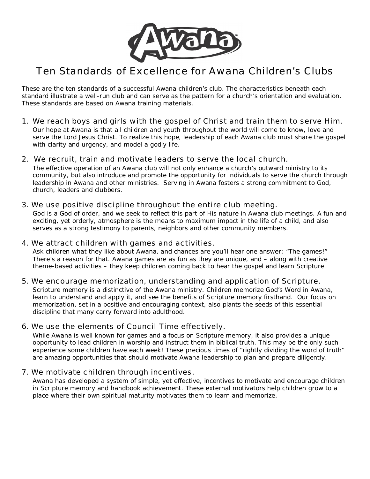

# Ten Standards of Excellence for Awana Children's Clubs

*These are the ten standards of a successful Awana children's club. The characteristics beneath each standard illustrate a well-run club and can serve as the pattern for a church's orientation and evaluation. These standards are based on Awana training materials.*

- 1. We reach boys and girls with the gospel of Christ and train them to serve Him. *Our hope at Awana is that all children and youth throughout the world will come to know, love and serve the Lord Jesus Christ. To realize this hope, leadership of each Awana club must share the gospel with clarity and urgency, and model a godly life.*
- 2. We recruit, train and motivate leaders to serve the local church.

*The effective operation of an Awana club will not only enhance a church's outward ministry to its community, but also introduce and promote the opportunity for individuals to serve the church through leadership in Awana and other ministries. Serving in Awana fosters a strong commitment to God, church, leaders and clubbers.*

3. We use positive discipline throughout the entire club meeting.

*God is a God of order, and we seek to reflect this part of His nature in Awana club meetings. A fun and exciting, yet orderly, atmosphere is the means to maximum impact in the life of a child, and also serves as a strong testimony to parents, neighbors and other community members.*

#### 4. We attract children with games and activities.

*Ask children what they like about Awana, and chances are you'll hear one answer: "The games!" There's a reason for that. Awana games are as fun as they are unique, and – along with creative theme-based activities – they keep children coming back to hear the gospel and learn Scripture.*

# 5. We encourage memorization, understanding and application of Scripture.

*Scripture memory is a distinctive of the Awana ministry. Children memorize God's Word in Awana, learn to understand and apply it, and see the benefits of Scripture memory firsthand. Our focus on memorization, set in a positive and encouraging context, also plants the seeds of this essential discipline that many carry forward into adulthood.*

# 6. We use the elements of Council Time effectively.

*While Awana is well known for games and a focus on Scripture memory, it also provides a unique opportunity to lead children in worship and instruct them in biblical truth. This may be the only such experience some children have each week! These precious times of "rightly dividing the word of truth" are amazing opportunities that should motivate Awana leadership to plan and prepare diligently.*

#### 7. We motivate children through incentives.

*Awana has developed a system of simple, yet effective, incentives to motivate and encourage children in Scripture memory and handbook achievement. These external motivators help children grow to a place where their own spiritual maturity motivates them to learn and memorize.*